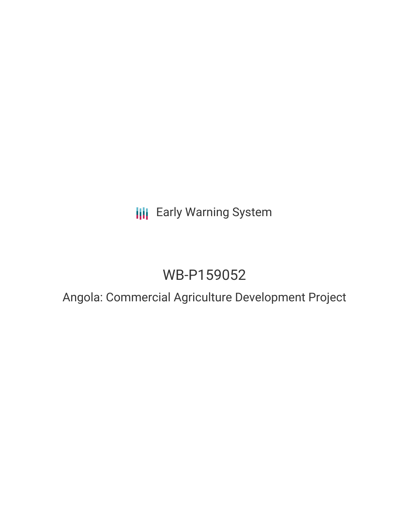## **III** Early Warning System

# WB-P159052

## Angola: Commercial Agriculture Development Project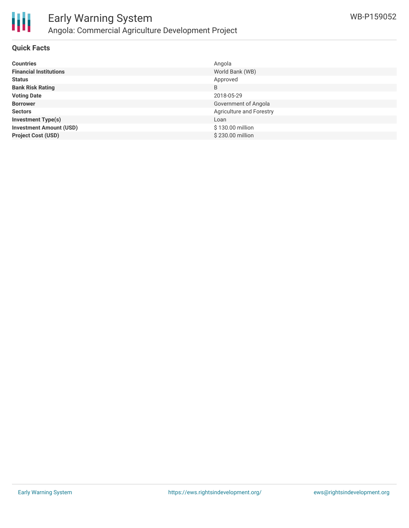

#### **Quick Facts**

| <b>Countries</b>               | Angola                   |
|--------------------------------|--------------------------|
| <b>Financial Institutions</b>  | World Bank (WB)          |
| <b>Status</b>                  | Approved                 |
| <b>Bank Risk Rating</b>        | B                        |
| <b>Voting Date</b>             | 2018-05-29               |
| <b>Borrower</b>                | Government of Angola     |
| <b>Sectors</b>                 | Agriculture and Forestry |
| <b>Investment Type(s)</b>      | Loan                     |
| <b>Investment Amount (USD)</b> | \$130.00 million         |
| <b>Project Cost (USD)</b>      | \$230.00 million         |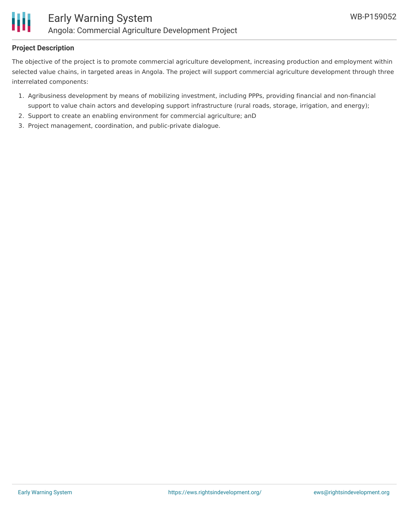

## **Project Description**

The objective of the project is to promote commercial agriculture development, increasing production and employment within selected value chains, in targeted areas in Angola. The project will support commercial agriculture development through three interrelated components:

- 1. Agribusiness development by means of mobilizing investment, including PPPs, providing financial and non-financial support to value chain actors and developing support infrastructure (rural roads, storage, irrigation, and energy);
- 2. Support to create an enabling environment for commercial agriculture; anD
- 3. Project management, coordination, and public-private dialogue.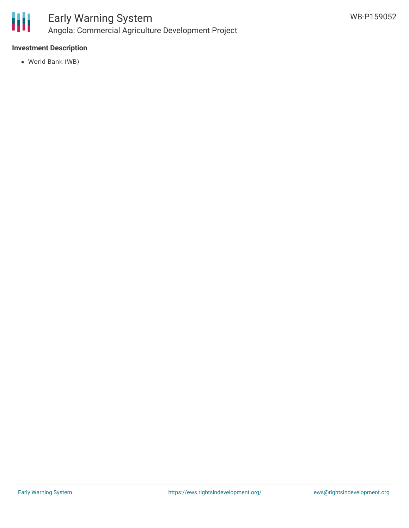

## **Investment Description**

World Bank (WB)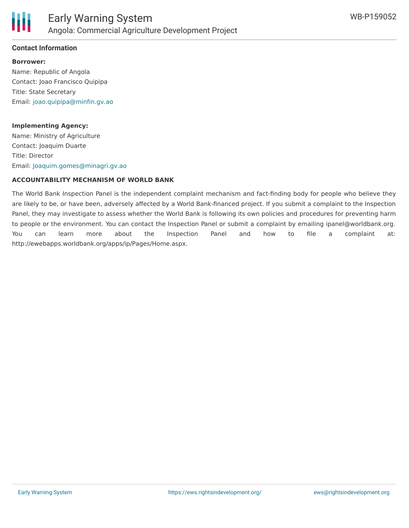

#### **Contact Information**

**Borrower:** Name: Republic of Angola Contact: Joao Francisco Quipipa Title: State Secretary Email: [joao.quipipa@minfin.gv.ao](mailto:joao.quipipa@minfin.gv.ao)

#### **Implementing Agency:**

Name: Ministry of Agriculture Contact: Joaquim Duarte Title: Director Email: [Joaquim.gomes@minagri.gv.ao](mailto:Joaquim.gomes@minagri.gv.ao)

#### **ACCOUNTABILITY MECHANISM OF WORLD BANK**

The World Bank Inspection Panel is the independent complaint mechanism and fact-finding body for people who believe they are likely to be, or have been, adversely affected by a World Bank-financed project. If you submit a complaint to the Inspection Panel, they may investigate to assess whether the World Bank is following its own policies and procedures for preventing harm to people or the environment. You can contact the Inspection Panel or submit a complaint by emailing ipanel@worldbank.org. You can learn more about the Inspection Panel and how to file a complaint at: http://ewebapps.worldbank.org/apps/ip/Pages/Home.aspx.